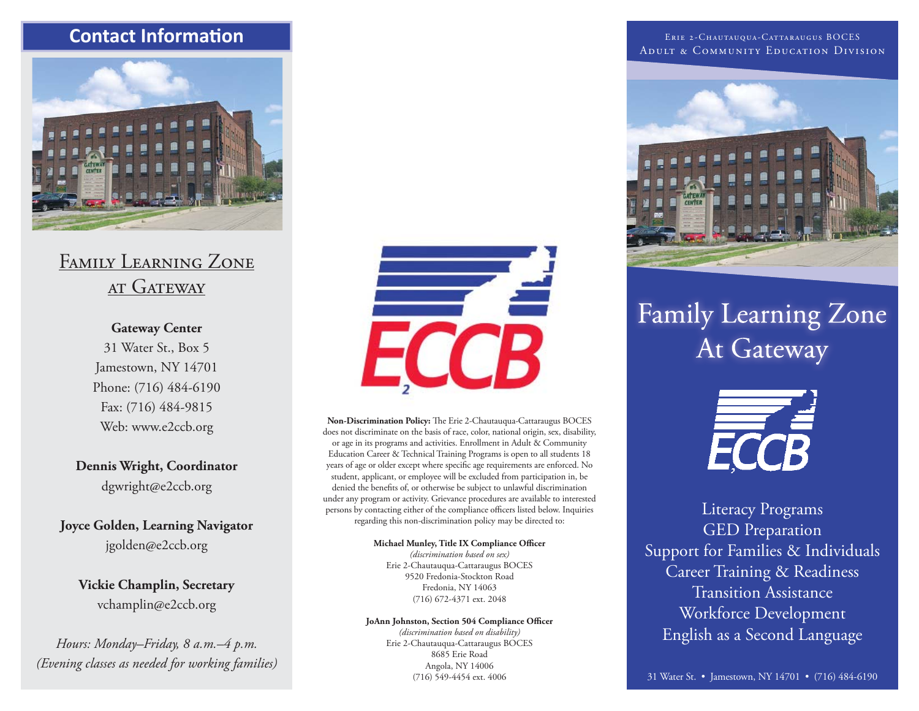## **Contact Informati on**



# Family Learning Zone AT GATEWAY

## **Gateway Center**

31 Water St., Box 5 Jamestown, NY 14701 Phone: (716) 484-6190 Fax: (716) 484-9815 Web: www.e2ccb.org

**Dennis Wright, Coordinator**  dgwright@e2ccb.org

**Joyce Golden, Learning Navigator** jgolden@e2ccb.org

**Vickie Champlin, Secretary** vchamplin@e2ccb.org

*Hours: Monday–Friday, 8 a.m.–4 p.m. (Evening classes as needed for working families)*



Non-Discrimination Policy: The Erie 2-Chautauqua-Cattaraugus BOCES does not discriminate on the basis of race, color, national origin, sex, disability, or age in its programs and activities. Enrollment in Adult & Community Education Career & Technical Training Programs is open to all students 18 years of age or older except where specific age requirements are enforced. No student, applicant, or employee will be excluded from participation in, be denied the benefits of, or otherwise be subject to unlawful discrimination under any program or activity. Grievance procedures are available to interested persons by contacting either of the compliance officers listed below. Inquiries regarding this non-discrimination policy may be directed to:

> **Michael Munley, Title IX Compliance Officer** *(discrimination based on sex)*

Erie 2-Chautauqua-Cattaraugus BOCES 9520 Fredonia-Stockton Road Fredonia, NY 14063 (716) 672-4371 ext. 2048

### JoAnn Johnston, Section 504 Compliance Officer

*(discrimination based on disability)* Erie 2-Chautauqua-Cattaraugus BOCES 8685 Erie Road Angola, NY 14006 (716) 549-4454 ext. 4006

Erie 2-Chautauqua-Cattaraugus BOCES Adult & Community Education Division



# **Family Learning Zone** At Gateway



Literacy Programs GED Preparation Support for Families & Individuals Career Training & Readiness Transition AssistanceWorkforce Development English as a Second Language